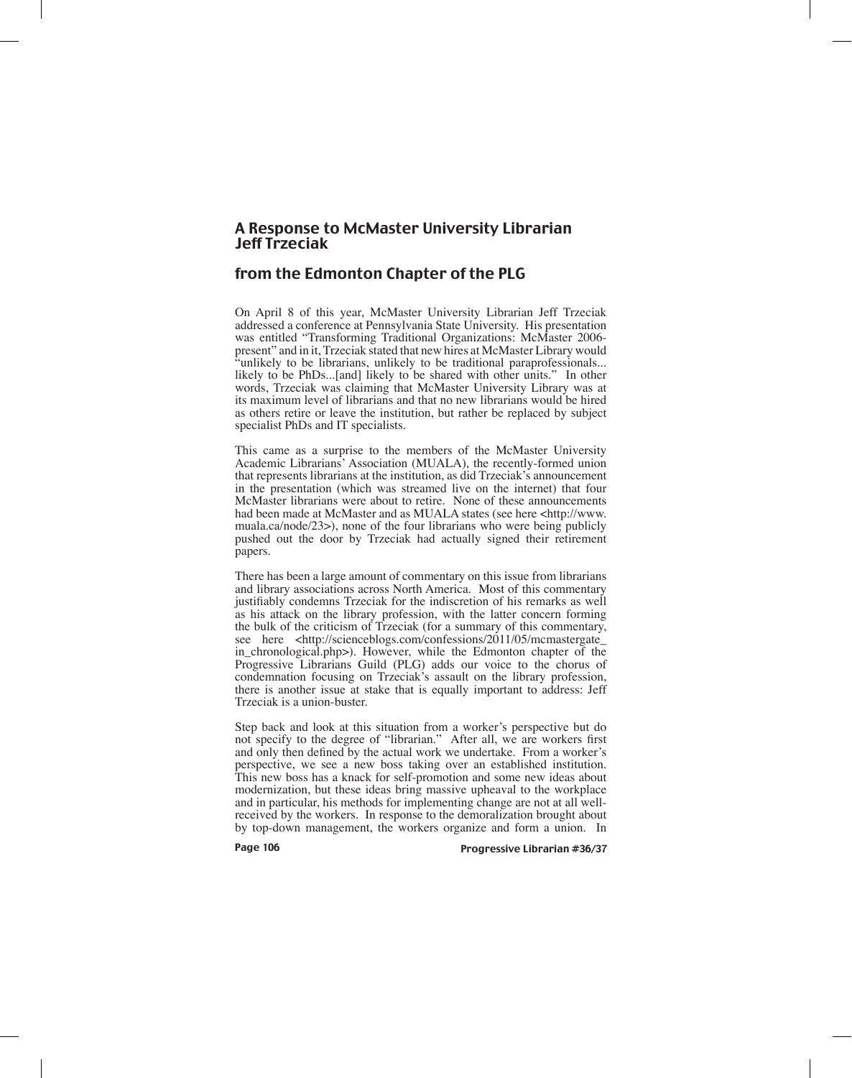## A Response to McMaster University Librarian Jeff Trzeciak

## from the Edmonton Chapter of the PLG

On April 8 of this year, McMaster University Librarian Jeff Trzeciak addressed a conference at Pennsylvania State University. His presentation was entitled "Transforming Traditional Organizations: McMaster 2006 present" and in it, Trzeciak stated that new hires at McMaster Library would "unlikely to be librarians, unlikely to be traditional paraprofessionals... likely to be PhDs...[and] likely to be shared with other units." In other words, Trzeciak was claiming that McMaster University Library was at its maximum level of librarians and that no new librarians would be hired as others retire or leave the institution, but rather be replaced by subject specialist PhDs and IT specialists.

This came as a surprise to the members of the McMaster University Academic Librarians' Association (MUALA), the recently-formed union that represents librarians at the institution, as did Trzeciak's announcement in the presentation (which was streamed live on the internet) that four McMaster librarians were about to retire. None of these announcements had been made at McMaster and as MUALA states (see here <http://www. muala.ca/node/23>), none of the four librarians who were being publicly pushed out the door by Trzeciak had actually signed their retirement papers.

There has been a large amount of commentary on this issue from librarians and library associations across North America. Most of this commentary justifiably condemns Trzeciak for the indiscretion of his remarks as well as his attack on the library profession, with the latter concern forming the bulk of the criticism of Trzeciak (for a summary of this commentary, see here <http://scienceblogs.com/confessions/2011/05/mcmastergate\_ in\_chronological.php>). However, while the Edmonton chapter of the Progressive Librarians Guild (PLG) adds our voice to the chorus of condemnation focusing on Trzeciak's assault on the library profession, there is another issue at stake that is equally important to address: Jeff Trzeciak is a union-buster.

Step back and look at this situation from a worker's perspective but do not specify to the degree of "librarian." After all, we are workers first and only then defined by the actual work we undertake. From a worker's perspective, we see a new boss taking over an established institution. This new boss has a knack for self-promotion and some new ideas about modernization, but these ideas bring massive upheaval to the workplace and in particular, his methods for implementing change are not at all wellreceived by the workers. In response to the demoralization brought about by top-down management, the workers organize and form a union. In

Page 106 **Progressive Librarian #36/37**